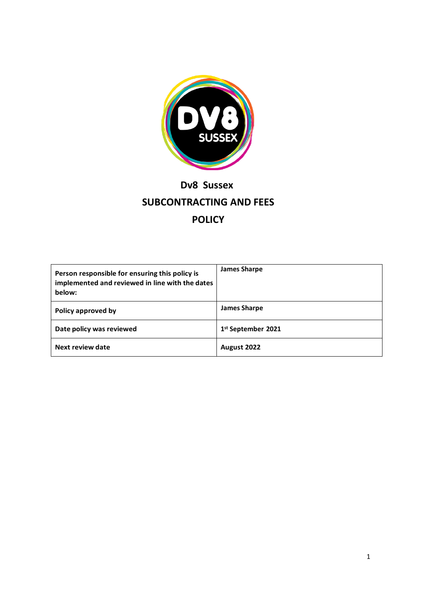

# **Dv8 Sussex SUBCONTRACTING AND FEES POLICY**

| Person responsible for ensuring this policy is<br>implemented and reviewed in line with the dates<br>below: | <b>James Sharpe</b> |
|-------------------------------------------------------------------------------------------------------------|---------------------|
| Policy approved by                                                                                          | <b>James Sharpe</b> |
| Date policy was reviewed                                                                                    | 1st September 2021  |
| Next review date                                                                                            | August 2022         |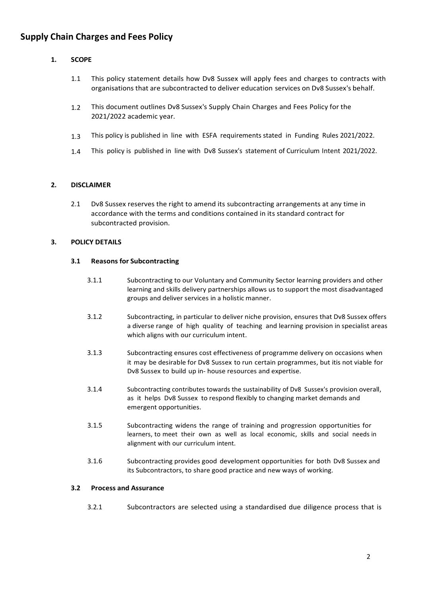# **Supply Chain Charges and Fees Policy**

# **1. SCOPE**

- 1.1 This policy statement details how Dv8 Sussex will apply fees and charges to contracts with organisations that are subcontracted to deliver education services on Dv8 Sussex's behalf.
- 1.2 This document outlines Dv8 Sussex's Supply Chain Charges and Fees Policy for the 2021/2022 academic year.
- 1.3 This policy is published in line with ESFA requirements stated in Funding Rules 2021/2022.
- 1.4 This policy is published in line with Dv8 Sussex's statement of Curriculum Intent 2021/2022.

#### **2. DISCLAIMER**

2.1 Dv8 Sussex reserves the right to amend its subcontracting arrangements at any time in accordance with the terms and conditions contained in its standard contract for subcontracted provision.

#### **3. POLICY DETAILS**

#### **3.1 Reasons for Subcontracting**

- 3.1.1 Subcontracting to our Voluntary and Community Sector learning providers and other learning and skills delivery partnerships allows us to support the most disadvantaged groups and deliver services in a holistic manner.
- 3.1.2 Subcontracting, in particular to deliver niche provision, ensures that Dv8 Sussex offers a diverse range of high quality of teaching and learning provision in specialist areas which aligns with our curriculum intent.
- 3.1.3 Subcontracting ensures cost effectiveness of programme delivery on occasions when it may be desirable for Dv8 Sussex to run certain programmes, but itis not viable for Dv8 Sussex to build up in- house resources and expertise.
- 3.1.4 Subcontracting contributes towards the sustainability of Dv8 Sussex's provision overall, as it helps Dv8 Sussex to respond flexibly to changing market demands and emergent opportunities.
- 3.1.5 Subcontracting widens the range of training and progression opportunities for learners, to meet their own as well as local economic, skills and social needs in alignment with our curriculum intent.
- 3.1.6 Subcontracting provides good development opportunities for both Dv8 Sussex and its Subcontractors, to share good practice and new ways of working.

#### **3.2 Process and Assurance**

3.2.1 Subcontractors are selected using a standardised due diligence process that is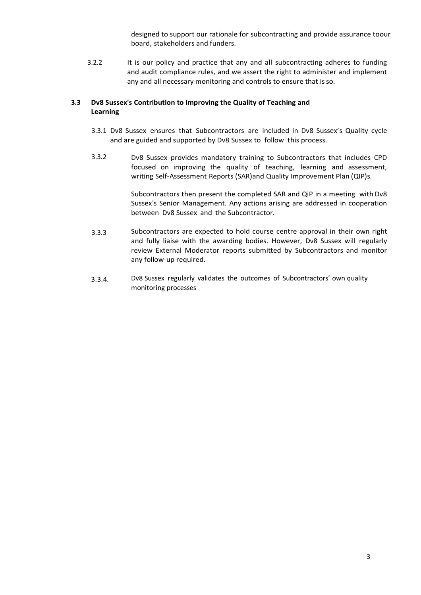designed to support our rationale for subcontracting and provide assurance toour board, stakeholders and funders.

3.2.2 It is our policy and practice that any and all subcontracting adheres to funding and audit compliance rules, and we assert the right to administer and implement any and all necessary monitoring and controls to ensure that is so.

## **3.3 Dv8 Sussex's Contribution to Improving the Quality of Teaching and Learning**

- 3.3.1 Dv8 Sussex ensures that Subcontractors are included in Dv8 Sussex's Quality cycle and are guided and supported by Dv8 Sussex to follow this process.
- 3.3.2 Dv8 Sussex provides mandatory training to Subcontractors that includes CPD focused on improving the quality of teaching, learning and assessment, writing Self-Assessment Reports (SAR)and Quality Improvement Plan (QIP)s.

Subcontractors then present the completed SAR and QiP in a meeting with Dv8 Sussex's Senior Management. Any actions arising are addressed in cooperation between Dv8 Sussex and the Subcontractor.

- 3.3.3 Subcontractors are expected to hold course centre approval in their own right and fully liaise with the awarding bodies. However, Dv8 Sussex will regularly review External Moderator reports submitted by Subcontractors and monitor any follow-up required.
- 3.3.4. Dv8 Sussex regularly validates the outcomes of Subcontractors' own quality monitoring processes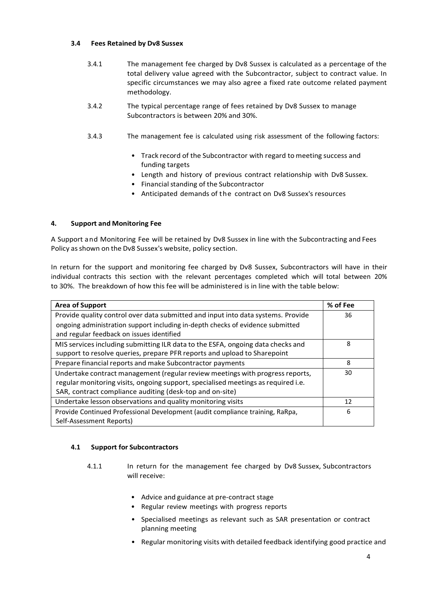### **3.4 Fees Retained by Dv8 Sussex**

- 3.4.1 The management fee charged by Dv8 Sussex is calculated as a percentage of the total delivery value agreed with the Subcontractor, subject to contract value. In specific circumstances we may also agree a fixed rate outcome related payment methodology.
- 3.4.2 The typical percentage range of fees retained by Dv8 Sussex to manage Subcontractors is between 20% and 30%.
- 3.4.3 The management fee is calculated using risk assessment of the following factors:
	- Track record of the Subcontractor with regard to meeting success and funding targets
	- Length and history of previous contract relationship with Dv8 Sussex.
	- Financial standing of the Subcontractor
	- Anticipated demands of the contract on Dv8 Sussex's resources

## **4. Support and Monitoring Fee**

A Support and Monitoring Fee will be retained by Dv8 Sussex in line with the Subcontracting and Fees Policy as shown on the Dv8 Sussex's website, policy section.

In return for the support and monitoring fee charged by Dv8 Sussex, Subcontractors will have in their individual contracts this section with the relevant percentages completed which will total between 20% to 30%. The breakdown of how this fee will be administered is in line with the table below:

| <b>Area of Support</b>                                                            | % of Fee |
|-----------------------------------------------------------------------------------|----------|
| Provide quality control over data submitted and input into data systems. Provide  | 36       |
| ongoing administration support including in-depth checks of evidence submitted    |          |
| and regular feedback on issues identified                                         |          |
| MIS services including submitting ILR data to the ESFA, ongoing data checks and   | 8        |
| support to resolve queries, prepare PFR reports and upload to Sharepoint          |          |
| Prepare financial reports and make Subcontractor payments                         | 8        |
| Undertake contract management (regular review meetings with progress reports,     | 30       |
| regular monitoring visits, ongoing support, specialised meetings as required i.e. |          |
| SAR, contract compliance auditing (desk-top and on-site)                          |          |
| Undertake lesson observations and quality monitoring visits                       | 12       |
| Provide Continued Professional Development (audit compliance training, RaRpa,     | 6        |
| Self-Assessment Reports)                                                          |          |

#### **4.1 Support for Subcontractors**

- 4.1.1 In return for the management fee charged by Dv8 Sussex, Subcontractors will receive:
	- Advice and guidance at pre-contract stage
	- Regular review meetings with progress reports
	- Specialised meetings as relevant such as SAR presentation or contract planning meeting
	- Regular monitoring visits with detailed feedback identifying good practice and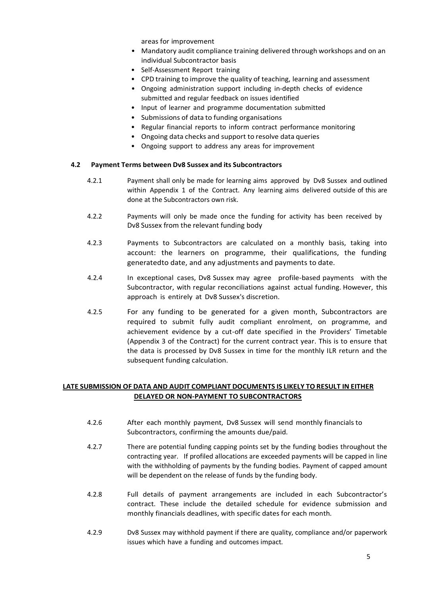areas for improvement

- Mandatory audit compliance training delivered through workshops and on an individual Subcontractor basis
- Self-Assessment Report training
- CPD training to improve the quality of teaching, learning and assessment
- Ongoing administration support including in-depth checks of evidence submitted and regular feedback on issues identified
- Input of learner and programme documentation submitted
- Submissions of data to funding organisations
- Regular financial reports to inform contract performance monitoring
- Ongoing data checks and support to resolve data queries
- Ongoing support to address any areas for improvement

#### **4.2 Payment Terms between Dv8 Sussex and its Subcontractors**

- 4.2.1 Payment shall only be made for learning aims approved by Dv8 Sussex and outlined within Appendix 1 of the Contract. Any learning aims delivered outside of this are done at the Subcontractors own risk.
- 4.2.2 Payments will only be made once the funding for activity has been received by Dv8 Sussex from the relevant funding body
- 4.2.3 Payments to Subcontractors are calculated on a monthly basis, taking into account: the learners on programme, their qualifications, the funding generatedto date, and any adjustments and payments to date.
- 4.2.4 In exceptional cases, Dv8 Sussex may agree profile-based payments with the Subcontractor, with regular reconciliations against actual funding. However, this approach is entirely at Dv8 Sussex's discretion.
- 4.2.5 For any funding to be generated for a given month, Subcontractors are required to submit fully audit compliant enrolment, on programme, and achievement evidence by a cut-off date specified in the Providers' Timetable (Appendix 3 of the Contract) for the current contract year. This is to ensure that the data is processed by Dv8 Sussex in time for the monthly ILR return and the subsequent funding calculation.

# **LATE SUBMISSION OF DATA AND AUDIT COMPLIANT DOCUMENTS IS LIKELY TO RESULT IN EITHER DELAYED OR NON-PAYMENT TO SUBCONTRACTORS**

- 4.2.6 After each monthly payment, Dv8 Sussex will send monthly financials to Subcontractors, confirming the amounts due/paid.
- 4.2.7 There are potential funding capping points set by the funding bodies throughout the contracting year. If profiled allocations are exceeded payments will be capped in line with the withholding of payments by the funding bodies. Payment of capped amount will be dependent on the release of funds by the funding body.
- 4.2.8 Full details of payment arrangements are included in each Subcontractor's contract. These include the detailed schedule for evidence submission and monthly financials deadlines, with specific dates for each month.
- 4.2.9 Dv8 Sussex may withhold payment if there are quality, compliance and/or paperwork issues which have a funding and outcomes impact.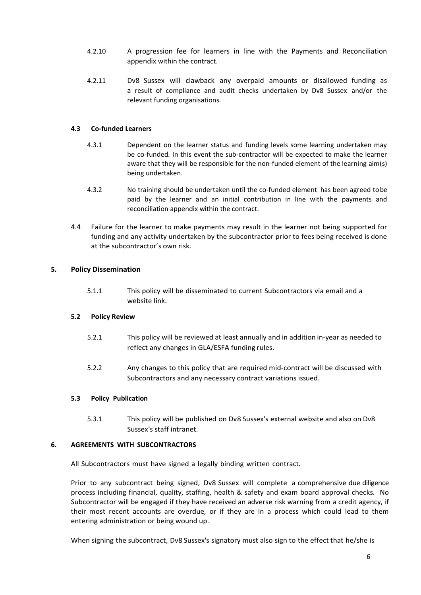- 4.2.10 A progression fee for learners in line with the Payments and Reconciliation appendix within the contract.
- 4.2.11 Dv8 Sussex will clawback any overpaid amounts or disallowed funding as a result of compliance and audit checks undertaken by Dv8 Sussex and/or the relevant funding organisations.

#### **4.3 Co-funded Learners**

- 4.3.1 Dependent on the learner status and funding levels some learning undertaken may be co-funded. In this event the sub-contractor will be expected to make the learner aware that they will be responsible for the non-funded element of the learning aim(s) being undertaken.
- 4.3.2 No training should be undertaken until the co-funded element has been agreed tobe paid by the learner and an initial contribution in line with the payments and reconciliation appendix within the contract.
- 4.4 Failure for the learner to make payments may result in the learner not being supported for funding and any activity undertaken by the subcontractor prior to fees being received is done at the subcontractor's own risk.

#### **5. Policy Dissemination**

5.1.1 This policy will be disseminated to current Subcontractors via email and a website link.

#### **5.2 Policy Review**

- 5.2.1 This policy will be reviewed at least annually and in addition in-year as needed to reflect any changes in GLA/ESFA funding rules.
- 5.2.2 Any changes to this policy that are required mid-contract will be discussed with Subcontractors and any necessary contract variations issued.

#### **5.3 Policy Publication**

5.3.1 This policy will be published on Dv8 Sussex's external website and also on Dv8 Sussex's staff intranet.

#### **6. AGREEMENTS WITH SUBCONTRACTORS**

All Subcontractors must have signed a legally binding written contract.

Prior to any subcontract being signed, Dv8 Sussex will complete a comprehensive due diligence process including financial, quality, staffing, health & safety and exam board approval checks. No Subcontractor will be engaged if they have received an adverse risk warning from a credit agency, if their most recent accounts are overdue, or if they are in a process which could lead to them entering administration or being wound up.

When signing the subcontract, Dv8 Sussex's signatory must also sign to the effect that he/she is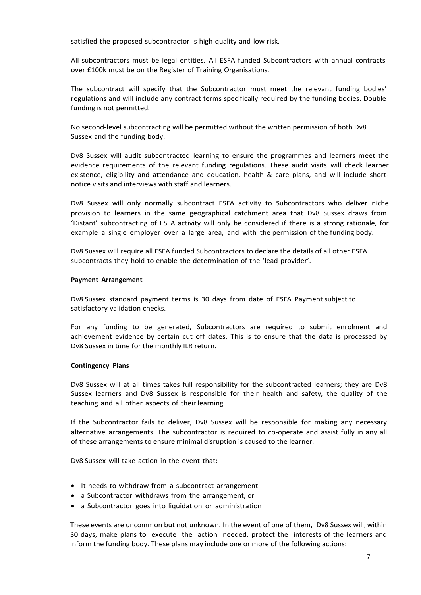satisfied the proposed subcontractor is high quality and low risk.

All subcontractors must be legal entities. All ESFA funded Subcontractors with annual contracts over £100k must be on the Register of Training Organisations.

The subcontract will specify that the Subcontractor must meet the relevant funding bodies' regulations and will include any contract terms specifically required by the funding bodies. Double funding is not permitted.

No second-level subcontracting will be permitted without the written permission of both Dv8 Sussex and the funding body.

Dv8 Sussex will audit subcontracted learning to ensure the programmes and learners meet the evidence requirements of the relevant funding regulations. These audit visits will check learner existence, eligibility and attendance and education, health & care plans, and will include shortnotice visits and interviews with staff and learners.

Dv8 Sussex will only normally subcontract ESFA activity to Subcontractors who deliver niche provision to learners in the same geographical catchment area that Dv8 Sussex draws from. 'Distant' subcontracting of ESFA activity will only be considered if there is a strong rationale, for example a single employer over a large area, and with the permission of the funding body.

Dv8 Sussex will require all ESFA funded Subcontractors to declare the details of all other ESFA subcontracts they hold to enable the determination of the 'lead provider'.

#### **Payment Arrangement**

Dv8 Sussex standard payment terms is 30 days from date of ESFA Payment subject to satisfactory validation checks.

For any funding to be generated, Subcontractors are required to submit enrolment and achievement evidence by certain cut off dates. This is to ensure that the data is processed by Dv8 Sussex in time for the monthly ILR return.

#### **Contingency Plans**

Dv8 Sussex will at all times takes full responsibility for the subcontracted learners; they are Dv8 Sussex learners and Dv8 Sussex is responsible for their health and safety, the quality of the teaching and all other aspects of their learning.

If the Subcontractor fails to deliver, Dv8 Sussex will be responsible for making any necessary alternative arrangements. The subcontractor is required to co-operate and assist fully in any all of these arrangements to ensure minimal disruption is caused to the learner.

Dv8 Sussex will take action in the event that:

- It needs to withdraw from a subcontract arrangement
- a Subcontractor withdraws from the arrangement, or
- a Subcontractor goes into liquidation or administration

These events are uncommon but not unknown. In the event of one of them, Dv8 Sussex will, within 30 days, make plans to execute the action needed, protect the interests of the learners and inform the funding body. These plans may include one or more of the following actions: